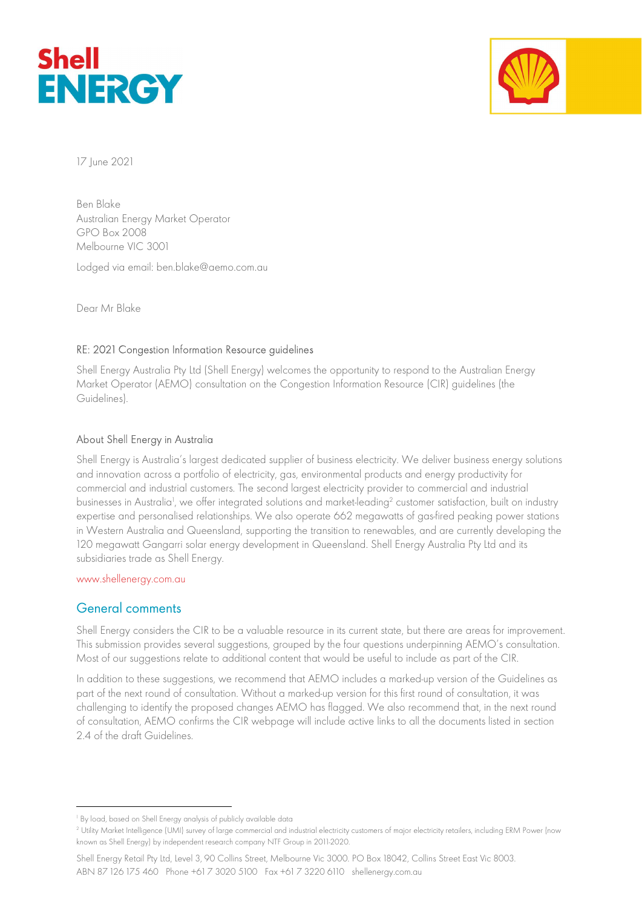



17 June 2021

Ben Blake Australian Energy Market Operator GPO Box 2008 Melbourne VIC 3001

Lodged via email: ben.blake@aemo.com.au

Dear Mr Blake

### RE: 2021 Congestion Information Resource guidelines

Shell Energy Australia Pty Ltd (Shell Energy) welcomes the opportunity to respond to the Australian Energy Market Operator (AEMO) consultation on the Congestion Information Resource (CIR) guidelines (the Guidelines).

### About Shell Energy in Australia

Shell Energy is Australia's largest dedicated supplier of business electricity. We deliver business energy solutions and innovation across a portfolio of electricity, gas, environmental products and energy productivity for commercial and industrial customers. The second largest electricity provider to commercial and industrial businesses in Australia<sup>1</sup>, we offer integrated solutions and market-leading<sup>2</sup> customer satisfaction, built on industry expertise and personalised relationships. We also operate 662 megawatts of gas-fired peaking power stations in Western Australia and Queensland, supporting the transition to renewables, and are currently developing the 120 megawatt Gangarri solar energy development in Queensland. Shell Energy Australia Pty Ltd and its subsidiaries trade as Shell Energy.

www.shellenergy.com.au

## General comments

Shell Energy considers the CIR to be a valuable resource in its current state, but there are areas for improvement. This submission provides several suggestions, grouped by the four questions underpinning AEMO's consultation. Most of our suggestions relate to additional content that would be useful to include as part of the CIR.

In addition to these suggestions, we recommend that AEMO includes a marked-up version of the Guidelines as part of the next round of consultation. Without a marked-up version for this first round of consultation, it was challenging to identify the proposed changes AEMO has flagged. We also recommend that, in the next round of consultation, AEMO confirms the CIR webpage will include active links to all the documents listed in section 2.4 of the draft Guidelines.

<sup>1</sup> By load, based on Shell Energy analysis of publicly available data

<sup>2</sup> Utility Market Intelligence (UMI) survey of large commercial and industrial electricity customers of major electricity retailers, including ERM Power (now known as Shell Energy) by independent research company NTF Group in 2011-2020.

Shell Energy Retail Pty Ltd, Level 3, 90 Collins Street, Melbourne Vic 3000. PO Box 18042, Collins Street East Vic 8003. ABN 87 126 175 460 Phone +61 7 3020 5100 Fax +61 7 3220 6110 shellenergy.com.au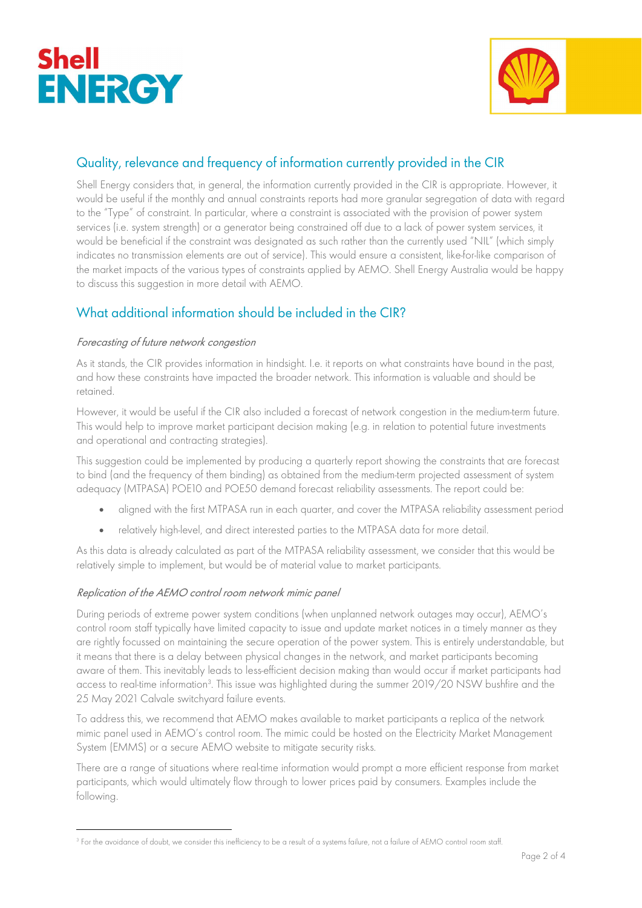



# Quality, relevance and frequency of information currently provided in the CIR

Shell Energy considers that, in general, the information currently provided in the CIR is appropriate. However, it would be useful if the monthly and annual constraints reports had more granular segregation of data with regard to the "Type" of constraint. In particular, where a constraint is associated with the provision of power system services (i.e. system strength) or a generator being constrained off due to a lack of power system services, it would be beneficial if the constraint was designated as such rather than the currently used "NIL" (which simply indicates no transmission elements are out of service). This would ensure a consistent, like-for-like comparison of the market impacts of the various types of constraints applied by AEMO. Shell Energy Australia would be happy to discuss this suggestion in more detail with AEMO.

# What additional information should be included in the CIR?

### Forecasting of future network congestion

As it stands, the CIR provides information in hindsight. I.e. it reports on what constraints have bound in the past, and how these constraints have impacted the broader network. This information is valuable and should be retained.

However, it would be useful if the CIR also included a forecast of network congestion in the medium-term future. This would help to improve market participant decision making (e.g. in relation to potential future investments and operational and contracting strategies).

This suggestion could be implemented by producing a quarterly report showing the constraints that are forecast to bind (and the frequency of them binding) as obtained from the medium-term projected assessment of system adequacy (MTPASA) POE10 and POE50 demand forecast reliability assessments. The report could be:

- aligned with the first MTPASA run in each quarter, and cover the MTPASA reliability assessment period
- relatively high-level, and direct interested parties to the MTPASA data for more detail.

As this data is already calculated as part of the MTPASA reliability assessment, we consider that this would be relatively simple to implement, but would be of material value to market participants.

### Replication of the AEMO control room network mimic panel

During periods of extreme power system conditions (when unplanned network outages may occur), AEMO's control room staff typically have limited capacity to issue and update market notices in a timely manner as they are rightly focussed on maintaining the secure operation of the power system. This is entirely understandable, but it means that there is a delay between physical changes in the network, and market participants becoming aware of them. This inevitably leads to less-efficient decision making than would occur if market participants had access to real-time information<sup>3</sup>. This issue was highlighted during the summer 2019/20 NSW bushfire and the 25 May 2021 Calvale switchyard failure events.

To address this, we recommend that AEMO makes available to market participants a replica of the network mimic panel used in AEMO's control room. The mimic could be hosted on the Electricity Market Management System (EMMS) or a secure AEMO website to mitigate security risks.

There are a range of situations where real-time information would prompt a more efficient response from market participants, which would ultimately flow through to lower prices paid by consumers. Examples include the following.

<sup>3</sup> For the avoidance of doubt, we consider this inefficiency to be a result of a systems failure, not a failure of AEMO control room staff.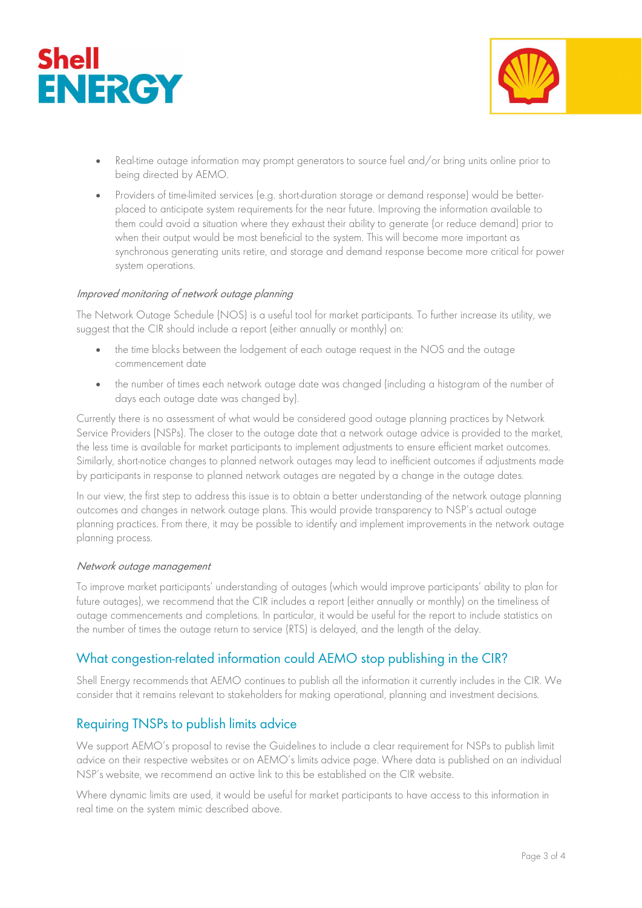



- Real-time outage information may prompt generators to source fuel and/or bring units online prior to being directed by AEMO.
- Providers of time-limited services (e.g. short-duration storage or demand response) would be betterplaced to anticipate system requirements for the near future. Improving the information available to them could avoid a situation where they exhaust their ability to generate (or reduce demand) prior to when their output would be most beneficial to the system. This will become more important as synchronous generating units retire, and storage and demand response become more critical for power system operations.

#### Improved monitoring of network outage planning

The Network Outage Schedule (NOS) is a useful tool for market participants. To further increase its utility, we suggest that the CIR should include a report (either annually or monthly) on:

- the time blocks between the lodgement of each outage request in the NOS and the outage commencement date
- the number of times each network outage date was changed (including a histogram of the number of days each outage date was changed by).

Currently there is no assessment of what would be considered good outage planning practices by Network Service Providers (NSPs). The closer to the outage date that a network outage advice is provided to the market, the less time is available for market participants to implement adjustments to ensure efficient market outcomes. Similarly, short-notice changes to planned network outages may lead to inefficient outcomes if adjustments made by participants in response to planned network outages are negated by a change in the outage dates.

In our view, the first step to address this issue is to obtain a better understanding of the network outage planning outcomes and changes in network outage plans. This would provide transparency to NSP's actual outage planning practices. From there, it may be possible to identify and implement improvements in the network outage planning process.

#### Network outage management

To improve market participants' understanding of outages (which would improve participants' ability to plan for future outages), we recommend that the CIR includes a report (either annually or monthly) on the timeliness of outage commencements and completions. In particular, it would be useful for the report to include statistics on the number of times the outage return to service (RTS) is delayed, and the length of the delay.

## What congestion-related information could AEMO stop publishing in the CIR?

Shell Energy recommends that AEMO continues to publish all the information it currently includes in the CIR. We consider that it remains relevant to stakeholders for making operational, planning and investment decisions.

## Requiring TNSPs to publish limits advice

We support AEMO's proposal to revise the Guidelines to include a clear requirement for NSPs to publish limit advice on their respective websites or on AEMO's limits advice page. Where data is published on an individual NSP's website, we recommend an active link to this be established on the CIR website.

Where dynamic limits are used, it would be useful for market participants to have access to this information in real time on the system mimic described above.